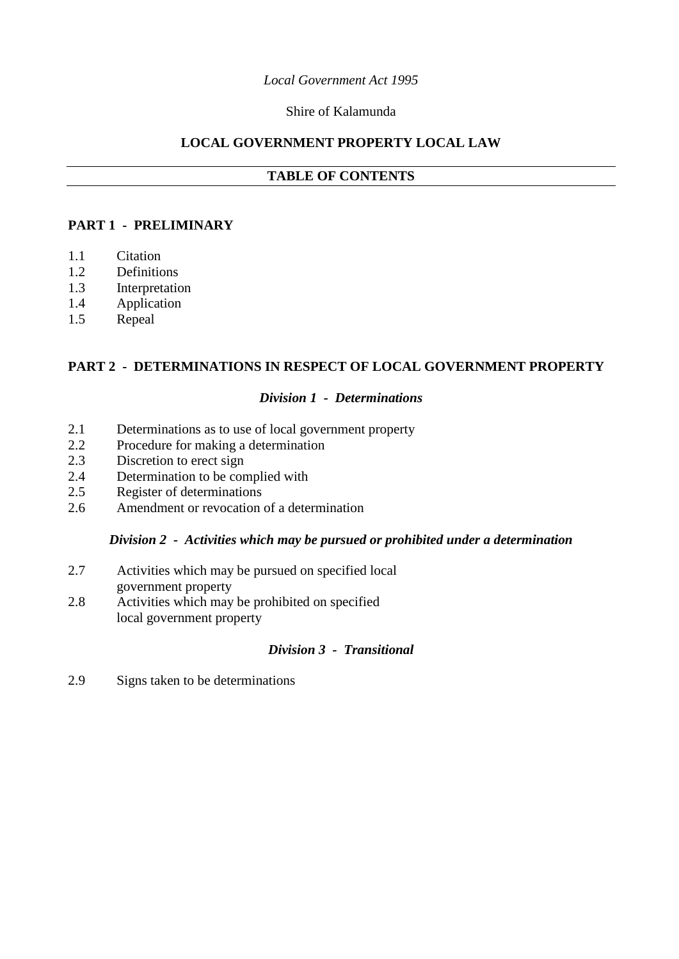## *Local Government Act 1995*

## Shire of Kalamunda

## **LOCAL GOVERNMENT PROPERTY LOCAL LAW**

## **TABLE OF CONTENTS**

## **PART 1 - PRELIMINARY**

- 1.1 Citation
- 1.2 Definitions
- 1.3 Interpretation
- 1.4 Application
- 1.5 Repeal

## **PART 2 - DETERMINATIONS IN RESPECT OF LOCAL GOVERNMENT PROPERTY**

### *Division 1 - Determinations*

- 2.1 Determinations as to use of local government property
- 2.2 Procedure for making a determination
- 2.3 Discretion to erect sign
- 2.4 Determination to be complied with
- 2.5 Register of determinations
- 2.6 Amendment or revocation of a determination

## *Division 2 - Activities which may be pursued or prohibited under a determination*

- 2.7 Activities which may be pursued on specified local government property
- 2.8 Activities which may be prohibited on specified local government property

## *Division 3 - Transitional*

2.9 Signs taken to be determinations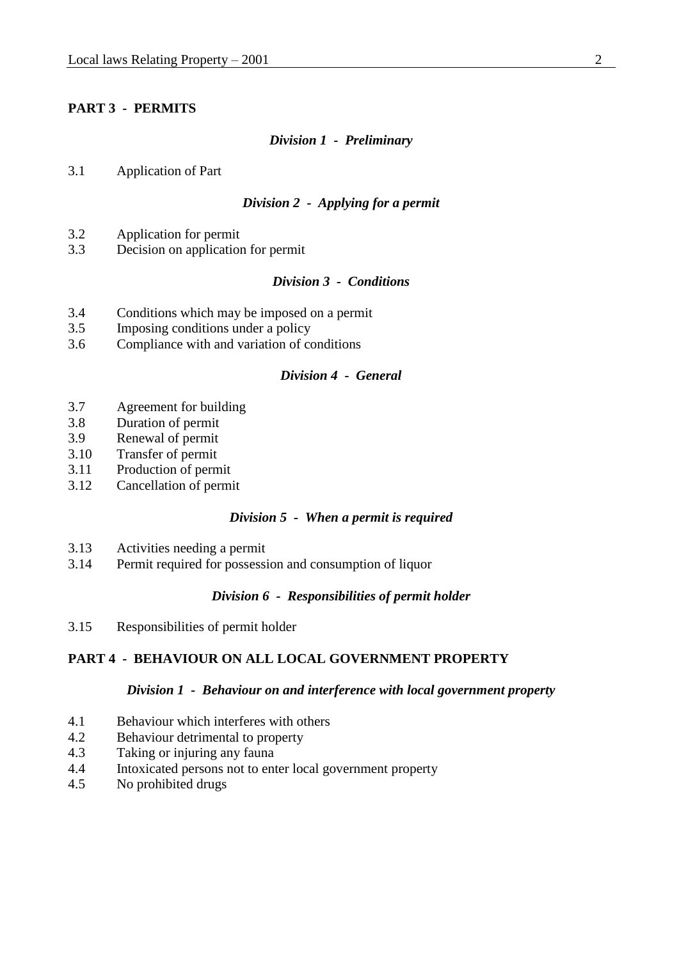## **PART 3 - PERMITS**

#### *Division 1 - Preliminary*

3.1 Application of Part

#### *Division 2 - Applying for a permit*

- 3.2 Application for permit
- 3.3 Decision on application for permit

## *Division 3 - Conditions*

- 3.4 Conditions which may be imposed on a permit
- 3.5 Imposing conditions under a policy
- 3.6 Compliance with and variation of conditions

### *Division 4 - General*

- 3.7 Agreement for building
- 3.8 Duration of permit
- 3.9 Renewal of permit
- 3.10 Transfer of permit
- 3.11 Production of permit
- 3.12 Cancellation of permit

#### *Division 5 - When a permit is required*

- 3.13 Activities needing a permit
- 3.14 Permit required for possession and consumption of liquor

### *Division 6 - Responsibilities of permit holder*

3.15 Responsibilities of permit holder

## **PART 4 - BEHAVIOUR ON ALL LOCAL GOVERNMENT PROPERTY**

#### *Division 1 - Behaviour on and interference with local government property*

- 4.1 Behaviour which interferes with others
- 4.2 Behaviour detrimental to property
- 4.3 Taking or injuring any fauna
- 4.4 Intoxicated persons not to enter local government property
- 4.5 No prohibited drugs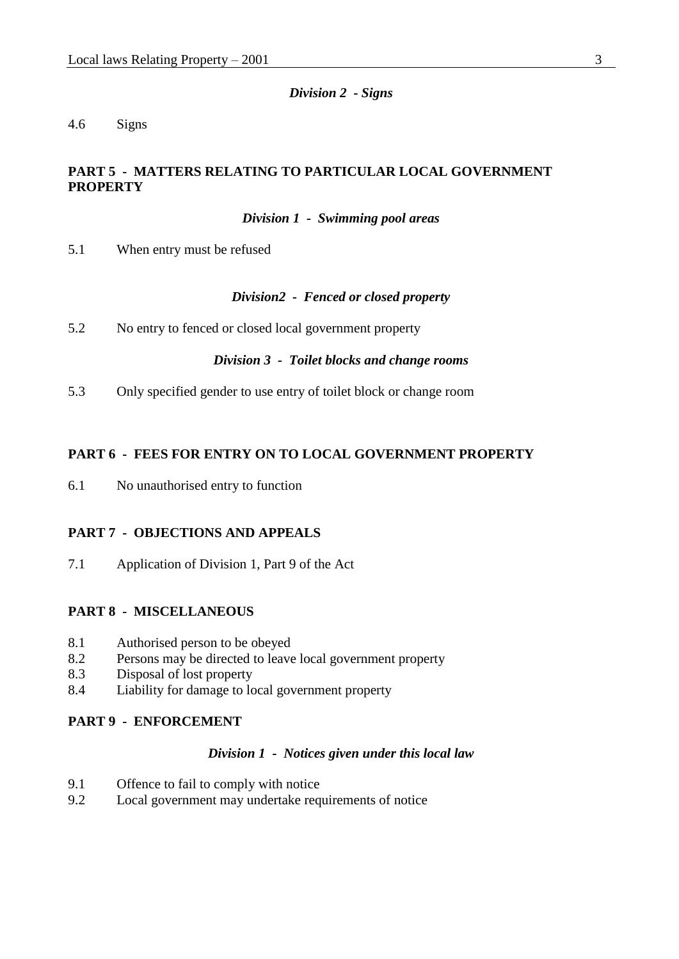*Division 2 - Signs*

## 4.6 Signs

## **PART 5 - MATTERS RELATING TO PARTICULAR LOCAL GOVERNMENT PROPERTY**

*Division 1 - Swimming pool areas*

5.1 When entry must be refused

#### *Division2 - Fenced or closed property*

5.2 No entry to fenced or closed local government property

#### *Division 3 - Toilet blocks and change rooms*

5.3 Only specified gender to use entry of toilet block or change room

#### **PART 6 - FEES FOR ENTRY ON TO LOCAL GOVERNMENT PROPERTY**

6.1 No unauthorised entry to function

### **PART 7 - OBJECTIONS AND APPEALS**

7.1 Application of Division 1, Part 9 of the Act

#### **PART 8 - MISCELLANEOUS**

- 8.1 Authorised person to be obeyed
- 8.2 Persons may be directed to leave local government property
- 8.3 Disposal of lost property
- 8.4 Liability for damage to local government property

### **PART 9 - ENFORCEMENT**

### *Division 1 - Notices given under this local law*

- 9.1 Offence to fail to comply with notice
- 9.2 Local government may undertake requirements of notice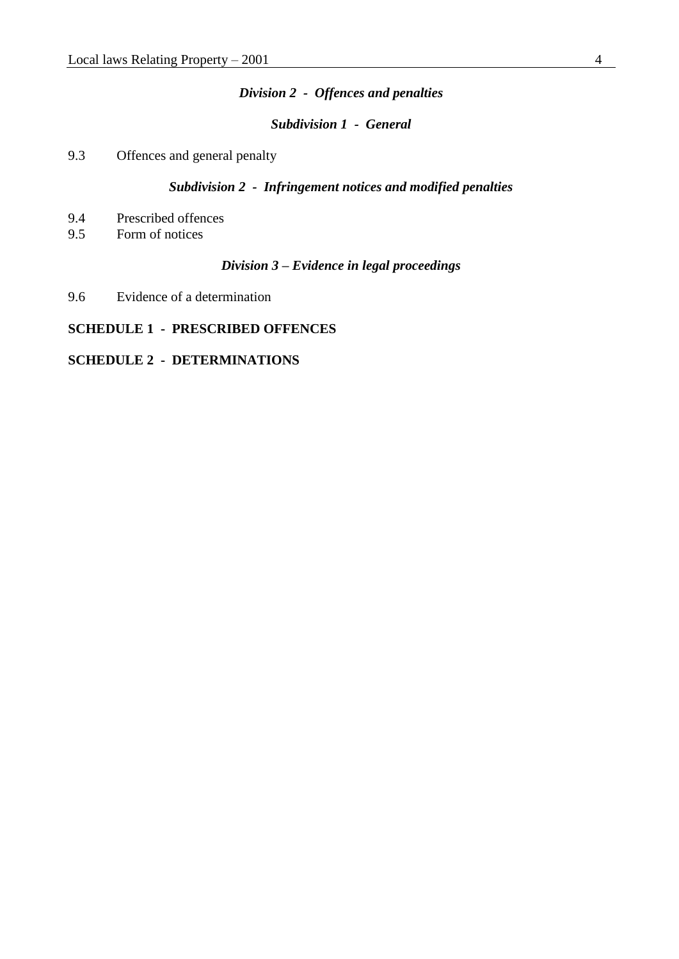#### *Division 2 - Offences and penalties*

*Subdivision 1 - General*

9.3 Offences and general penalty

# *Subdivision 2 - Infringement notices and modified penalties*

- 9.4 Prescribed offences<br>9.5 Form of notices
- Form of notices

#### *Division 3 – Evidence in legal proceedings*

9.6 Evidence of a determination

# **SCHEDULE 1 - PRESCRIBED OFFENCES**

## **SCHEDULE 2 - DETERMINATIONS**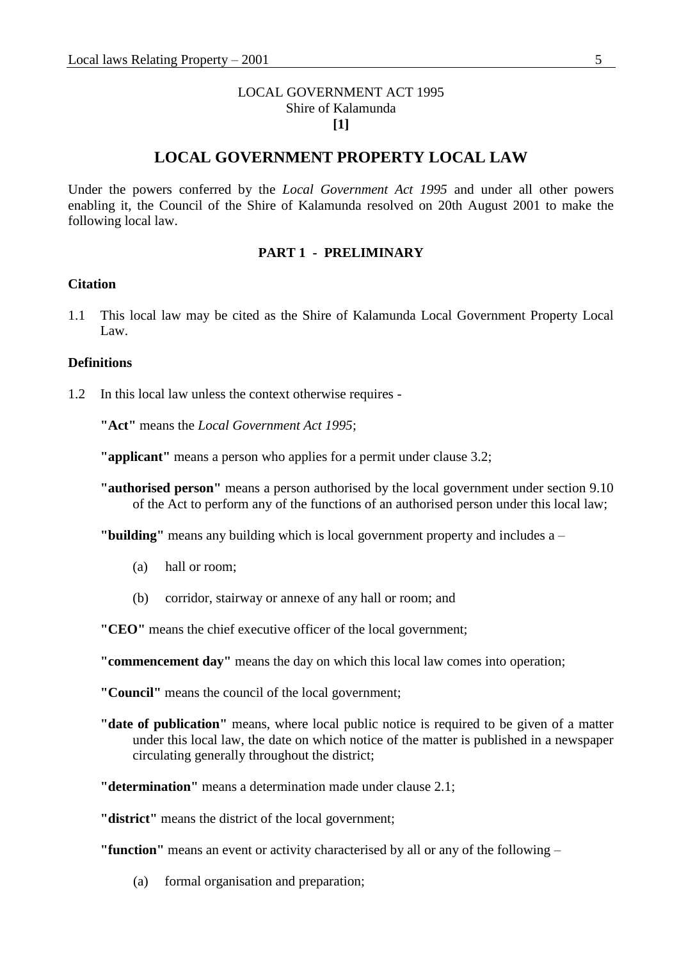## LOCAL GOVERNMENT ACT 1995 Shire of Kalamunda **[1]**

# **LOCAL GOVERNMENT PROPERTY LOCAL LAW**

Under the powers conferred by the *Local Government Act 1995* and under all other powers enabling it, the Council of the Shire of Kalamunda resolved on 20th August 2001 to make the following local law.

#### **PART 1 - PRELIMINARY**

#### **Citation**

1.1 This local law may be cited as the Shire of Kalamunda Local Government Property Local Law.

#### **Definitions**

1.2 In this local law unless the context otherwise requires -

**"Act"** means the *Local Government Act 1995*;

**"applicant"** means a person who applies for a permit under clause 3.2;

**"authorised person"** means a person authorised by the local government under section 9.10 of the Act to perform any of the functions of an authorised person under this local law;

**"building"** means any building which is local government property and includes a –

- (a) hall or room;
- (b) corridor, stairway or annexe of any hall or room; and

**"CEO"** means the chief executive officer of the local government;

**"commencement day"** means the day on which this local law comes into operation;

**"Council"** means the council of the local government;

**"date of publication"** means, where local public notice is required to be given of a matter under this local law, the date on which notice of the matter is published in a newspaper circulating generally throughout the district;

**"determination"** means a determination made under clause 2.1;

**"district"** means the district of the local government;

**"function"** means an event or activity characterised by all or any of the following –

(a) formal organisation and preparation;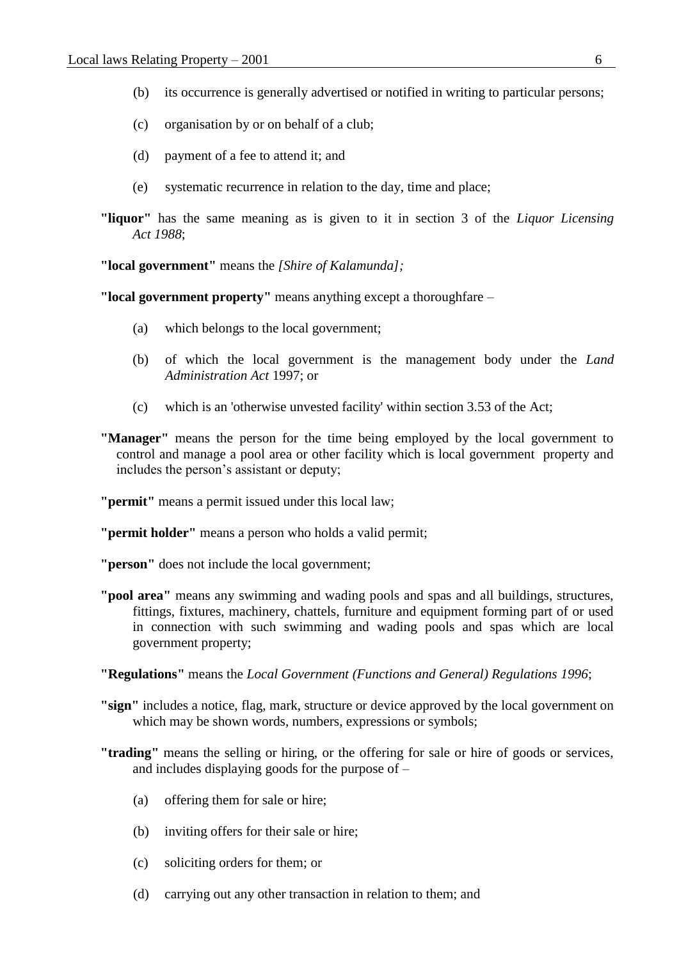- (b) its occurrence is generally advertised or notified in writing to particular persons;
- (c) organisation by or on behalf of a club;
- (d) payment of a fee to attend it; and
- (e) systematic recurrence in relation to the day, time and place;
- **"liquor"** has the same meaning as is given to it in section 3 of the *Liquor Licensing Act 1988*;

**"local government"** means the *[Shire of Kalamunda];*

**"local government property"** means anything except a thoroughfare –

- (a) which belongs to the local government;
- (b) of which the local government is the management body under the *Land Administration Act* 1997; or
- (c) which is an 'otherwise unvested facility' within section 3.53 of the Act;

**"Manager"** means the person for the time being employed by the local government to control and manage a pool area or other facility which is local government property and includes the person's assistant or deputy;

**"permit"** means a permit issued under this local law;

**"permit holder"** means a person who holds a valid permit;

**"person"** does not include the local government;

- **"pool area"** means any swimming and wading pools and spas and all buildings, structures, fittings, fixtures, machinery, chattels, furniture and equipment forming part of or used in connection with such swimming and wading pools and spas which are local government property;
- **"Regulations"** means the *Local Government (Functions and General) Regulations 1996*;
- **"sign"** includes a notice, flag, mark, structure or device approved by the local government on which may be shown words, numbers, expressions or symbols;
- **"trading"** means the selling or hiring, or the offering for sale or hire of goods or services, and includes displaying goods for the purpose of –
	- (a) offering them for sale or hire;
	- (b) inviting offers for their sale or hire;
	- (c) soliciting orders for them; or
	- (d) carrying out any other transaction in relation to them; and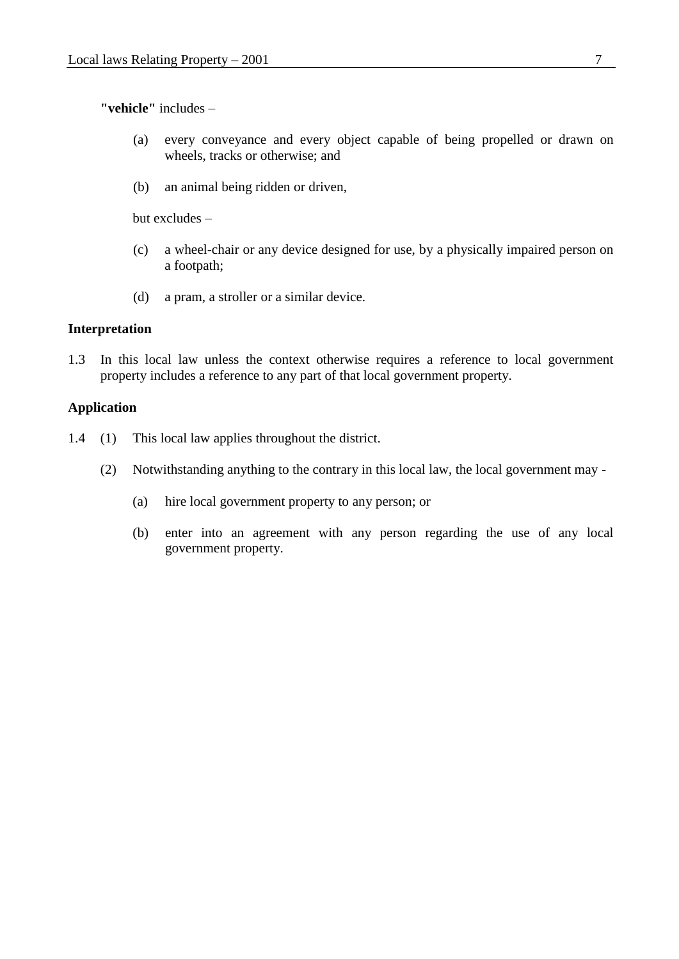**"vehicle"** includes –

- (a) every conveyance and every object capable of being propelled or drawn on wheels, tracks or otherwise; and
- (b) an animal being ridden or driven,

but excludes –

- (c) a wheel-chair or any device designed for use, by a physically impaired person on a footpath;
- (d) a pram, a stroller or a similar device.

#### **Interpretation**

1.3 In this local law unless the context otherwise requires a reference to local government property includes a reference to any part of that local government property.

## **Application**

- 1.4 (1) This local law applies throughout the district.
	- (2) Notwithstanding anything to the contrary in this local law, the local government may
		- (a) hire local government property to any person; or
		- (b) enter into an agreement with any person regarding the use of any local government property.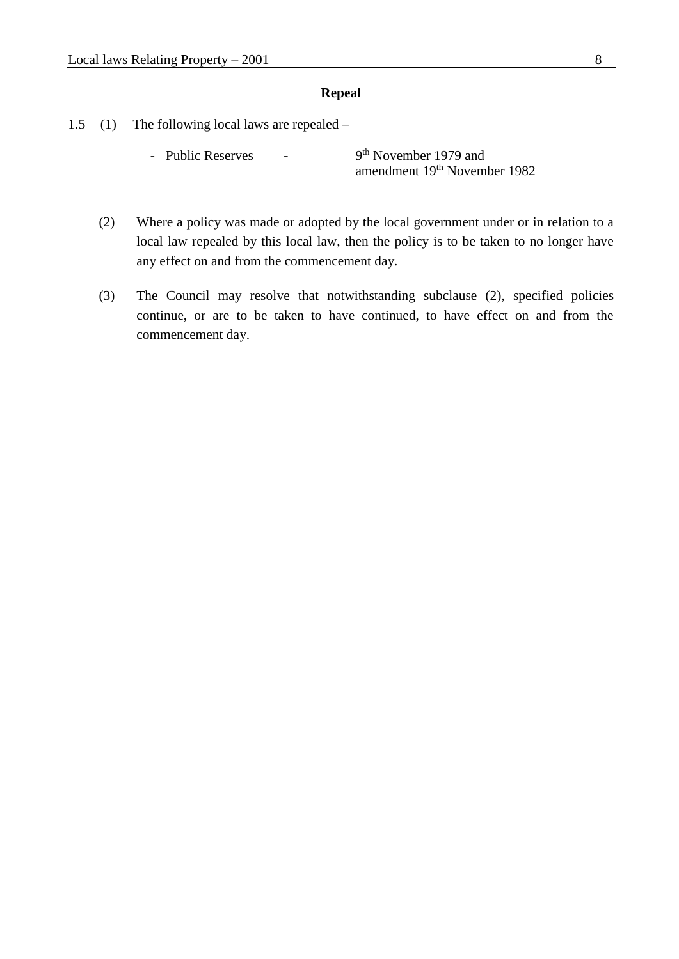#### **Repeal**

- 1.5 (1) The following local laws are repealed
	- Public Reserves -9<sup>th</sup> November 1979 and amendment 19th November 1982
	- (2) Where a policy was made or adopted by the local government under or in relation to a local law repealed by this local law, then the policy is to be taken to no longer have any effect on and from the commencement day.
	- (3) The Council may resolve that notwithstanding subclause (2), specified policies continue, or are to be taken to have continued, to have effect on and from the commencement day.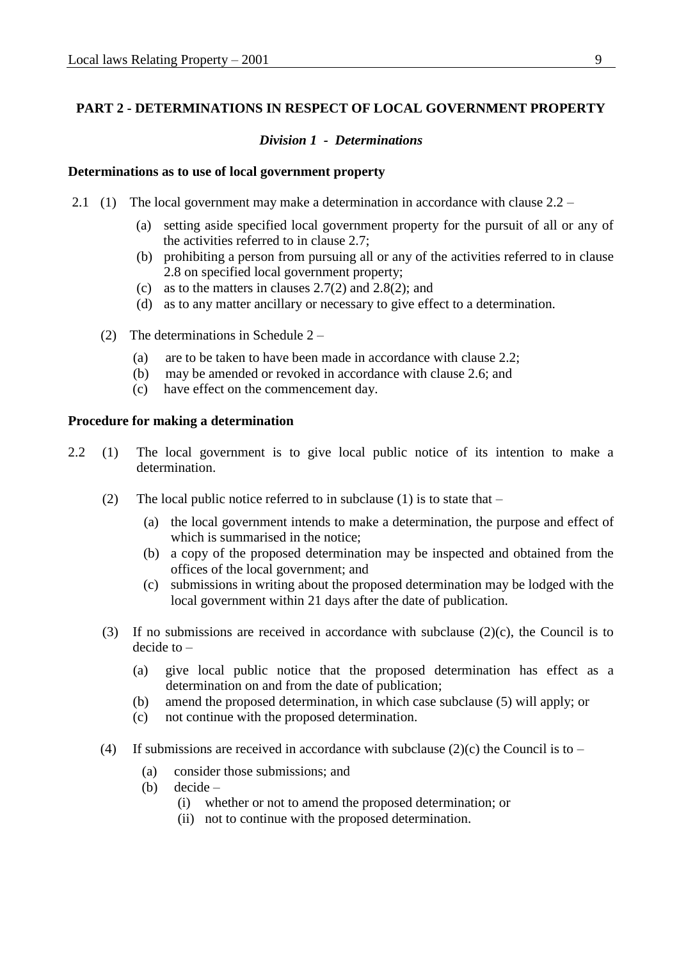## **PART 2 - DETERMINATIONS IN RESPECT OF LOCAL GOVERNMENT PROPERTY**

#### *Division 1 - Determinations*

#### **Determinations as to use of local government property**

- 2.1 (1) The local government may make a determination in accordance with clause 2.2
	- (a) setting aside specified local government property for the pursuit of all or any of the activities referred to in clause 2.7;
	- (b) prohibiting a person from pursuing all or any of the activities referred to in clause 2.8 on specified local government property;
	- (c) as to the matters in clauses 2.7(2) and 2.8(2); and
	- (d) as to any matter ancillary or necessary to give effect to a determination.
	- (2) The determinations in Schedule 2
		- (a) are to be taken to have been made in accordance with clause 2.2;
		- (b) may be amended or revoked in accordance with clause 2.6; and
		- (c) have effect on the commencement day.

#### **Procedure for making a determination**

- 2.2 (1) The local government is to give local public notice of its intention to make a determination.
	- (2) The local public notice referred to in subclause (1) is to state that  $-$ 
		- (a) the local government intends to make a determination, the purpose and effect of which is summarised in the notice:
		- (b) a copy of the proposed determination may be inspected and obtained from the offices of the local government; and
		- (c) submissions in writing about the proposed determination may be lodged with the local government within 21 days after the date of publication.
	- (3) If no submissions are received in accordance with subclause  $(2)(c)$ , the Council is to decide to –
		- (a) give local public notice that the proposed determination has effect as a determination on and from the date of publication;
		- (b) amend the proposed determination, in which case subclause (5) will apply; or
		- (c) not continue with the proposed determination.
	- (4) If submissions are received in accordance with subclause (2)(c) the Council is to
		- (a) consider those submissions; and
		- (b) decide
			- (i) whether or not to amend the proposed determination; or
			- (ii) not to continue with the proposed determination.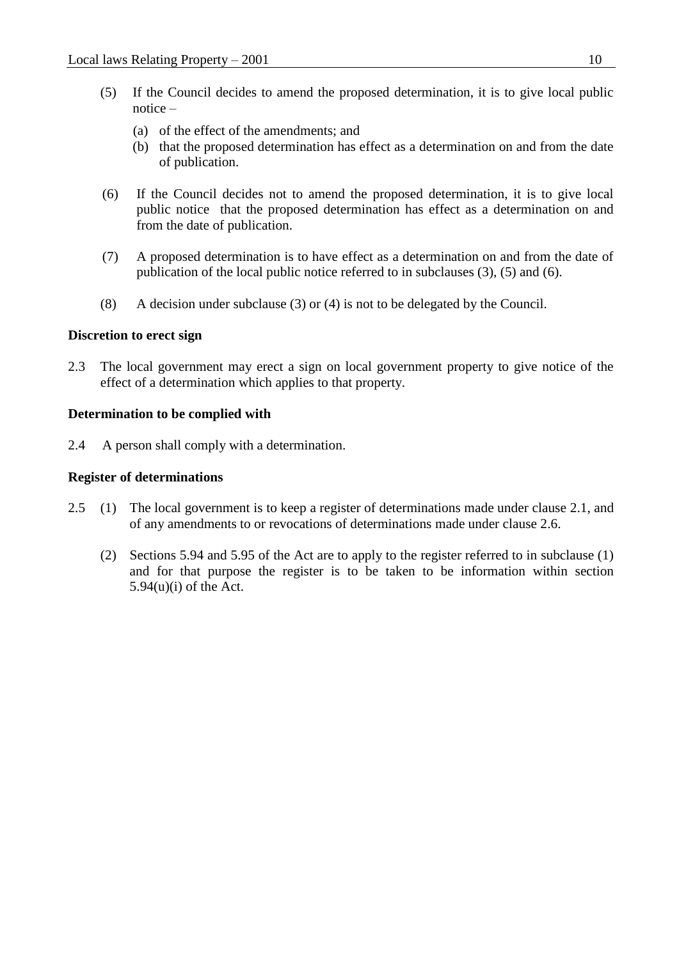- (5) If the Council decides to amend the proposed determination, it is to give local public notice –
	- (a) of the effect of the amendments; and
	- (b) that the proposed determination has effect as a determination on and from the date of publication.
- (6) If the Council decides not to amend the proposed determination, it is to give local public notice that the proposed determination has effect as a determination on and from the date of publication.
- (7) A proposed determination is to have effect as a determination on and from the date of publication of the local public notice referred to in subclauses (3), (5) and (6).
- (8) A decision under subclause (3) or (4) is not to be delegated by the Council.

#### **Discretion to erect sign**

2.3 The local government may erect a sign on local government property to give notice of the effect of a determination which applies to that property.

#### **Determination to be complied with**

2.4 A person shall comply with a determination.

#### **Register of determinations**

- 2.5 (1) The local government is to keep a register of determinations made under clause 2.1, and of any amendments to or revocations of determinations made under clause 2.6.
	- (2) Sections 5.94 and 5.95 of the Act are to apply to the register referred to in subclause (1) and for that purpose the register is to be taken to be information within section  $5.94(u)(i)$  of the Act.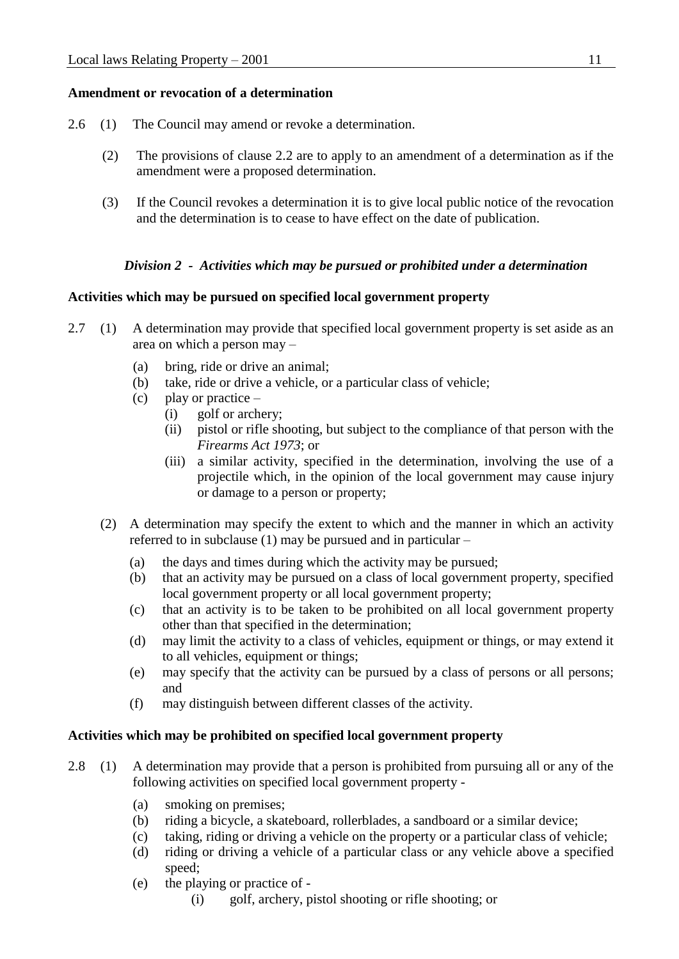## **Amendment or revocation of a determination**

- 2.6 (1) The Council may amend or revoke a determination.
	- (2) The provisions of clause 2.2 are to apply to an amendment of a determination as if the amendment were a proposed determination.
	- (3) If the Council revokes a determination it is to give local public notice of the revocation and the determination is to cease to have effect on the date of publication.

## *Division 2 - Activities which may be pursued or prohibited under a determination*

### **Activities which may be pursued on specified local government property**

- 2.7 (1) A determination may provide that specified local government property is set aside as an area on which a person may –
	- (a) bring, ride or drive an animal;
	- (b) take, ride or drive a vehicle, or a particular class of vehicle;
	- (c) play or practice  $-$ 
		- (i) golf or archery;
		- (ii) pistol or rifle shooting, but subject to the compliance of that person with the *Firearms Act 1973*; or
		- (iii) a similar activity, specified in the determination, involving the use of a projectile which, in the opinion of the local government may cause injury or damage to a person or property;
	- (2) A determination may specify the extent to which and the manner in which an activity referred to in subclause (1) may be pursued and in particular –
		- (a) the days and times during which the activity may be pursued;
		- (b) that an activity may be pursued on a class of local government property, specified local government property or all local government property;
		- (c) that an activity is to be taken to be prohibited on all local government property other than that specified in the determination;
		- (d) may limit the activity to a class of vehicles, equipment or things, or may extend it to all vehicles, equipment or things;
		- (e) may specify that the activity can be pursued by a class of persons or all persons; and
		- (f) may distinguish between different classes of the activity.

### **Activities which may be prohibited on specified local government property**

- 2.8 (1) A determination may provide that a person is prohibited from pursuing all or any of the following activities on specified local government property -
	- (a) smoking on premises;
	- (b) riding a bicycle, a skateboard, rollerblades, a sandboard or a similar device;
	- (c) taking, riding or driving a vehicle on the property or a particular class of vehicle;
	- (d) riding or driving a vehicle of a particular class or any vehicle above a specified speed;
	- (e) the playing or practice of
		- (i) golf, archery, pistol shooting or rifle shooting; or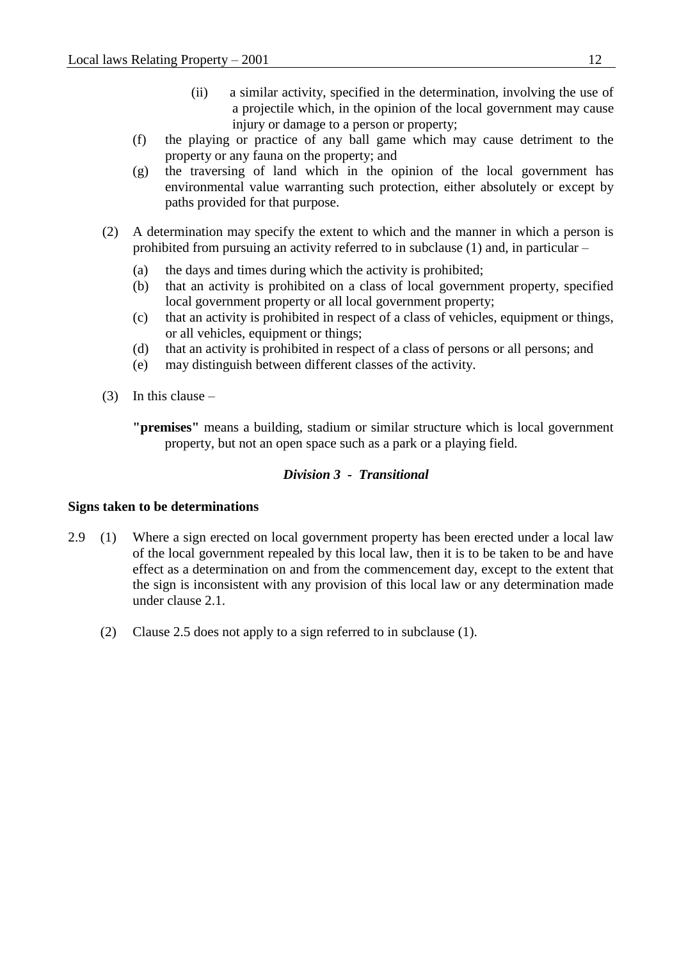- (ii) a similar activity, specified in the determination, involving the use of a projectile which, in the opinion of the local government may cause injury or damage to a person or property;
- (f) the playing or practice of any ball game which may cause detriment to the property or any fauna on the property; and
- (g) the traversing of land which in the opinion of the local government has environmental value warranting such protection, either absolutely or except by paths provided for that purpose.
- (2) A determination may specify the extent to which and the manner in which a person is prohibited from pursuing an activity referred to in subclause (1) and, in particular –
	- (a) the days and times during which the activity is prohibited;
	- (b) that an activity is prohibited on a class of local government property, specified local government property or all local government property;
	- (c) that an activity is prohibited in respect of a class of vehicles, equipment or things, or all vehicles, equipment or things;
	- (d) that an activity is prohibited in respect of a class of persons or all persons; and
	- (e) may distinguish between different classes of the activity.
- (3) In this clause
	- **"premises"** means a building, stadium or similar structure which is local government property, but not an open space such as a park or a playing field.

## *Division 3 - Transitional*

### **Signs taken to be determinations**

- 2.9 (1) Where a sign erected on local government property has been erected under a local law of the local government repealed by this local law, then it is to be taken to be and have effect as a determination on and from the commencement day, except to the extent that the sign is inconsistent with any provision of this local law or any determination made under clause 2.1.
	- (2) Clause 2.5 does not apply to a sign referred to in subclause (1).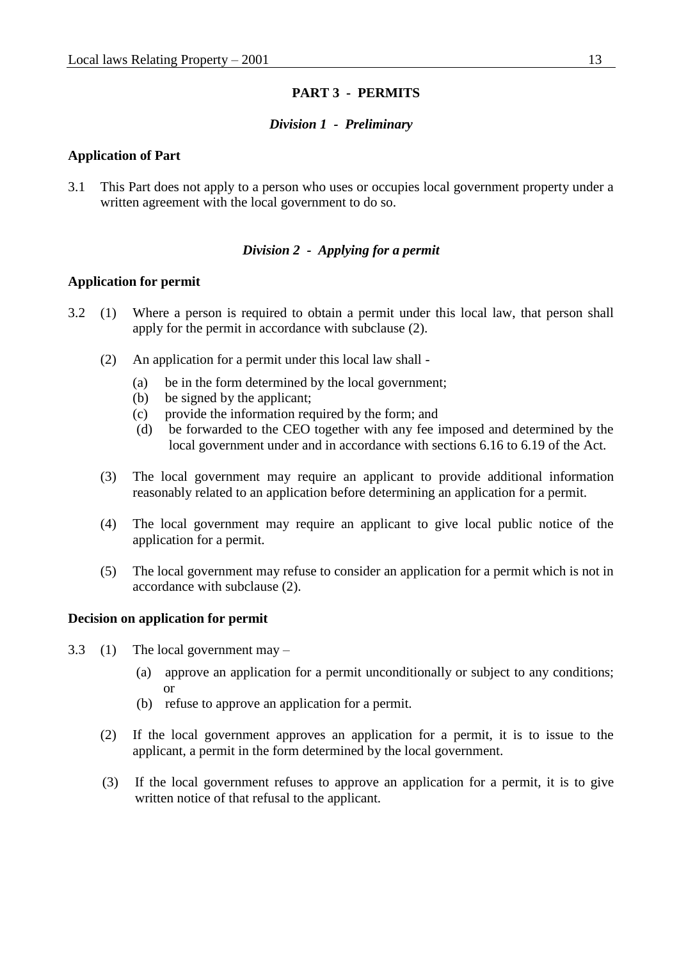## **PART 3 - PERMITS**

### *Division 1 - Preliminary*

#### **Application of Part**

3.1 This Part does not apply to a person who uses or occupies local government property under a written agreement with the local government to do so.

## *Division 2 - Applying for a permit*

#### **Application for permit**

- 3.2 (1) Where a person is required to obtain a permit under this local law, that person shall apply for the permit in accordance with subclause (2).
	- (2) An application for a permit under this local law shall
		- (a) be in the form determined by the local government;
		- (b) be signed by the applicant;
		- (c) provide the information required by the form; and
		- (d) be forwarded to the CEO together with any fee imposed and determined by the local government under and in accordance with sections 6.16 to 6.19 of the Act.
	- (3) The local government may require an applicant to provide additional information reasonably related to an application before determining an application for a permit.
	- (4) The local government may require an applicant to give local public notice of the application for a permit.
	- (5) The local government may refuse to consider an application for a permit which is not in accordance with subclause (2).

### **Decision on application for permit**

- 3.3 (1) The local government may
	- (a) approve an application for a permit unconditionally or subject to any conditions; or
	- (b) refuse to approve an application for a permit.
	- (2) If the local government approves an application for a permit, it is to issue to the applicant, a permit in the form determined by the local government.
	- (3) If the local government refuses to approve an application for a permit, it is to give written notice of that refusal to the applicant.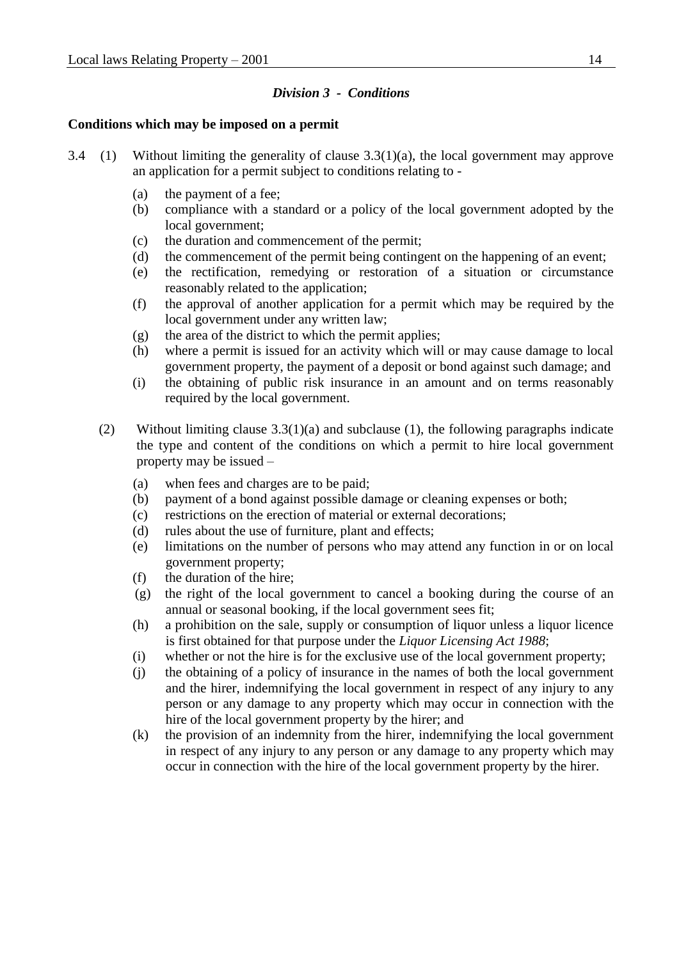## *Division 3 - Conditions*

## **Conditions which may be imposed on a permit**

- 3.4 (1) Without limiting the generality of clause  $3.3(1)(a)$ , the local government may approve an application for a permit subject to conditions relating to -
	- (a) the payment of a fee;
	- (b) compliance with a standard or a policy of the local government adopted by the local government;
	- (c) the duration and commencement of the permit;
	- (d) the commencement of the permit being contingent on the happening of an event;
	- (e) the rectification, remedying or restoration of a situation or circumstance reasonably related to the application;
	- (f) the approval of another application for a permit which may be required by the local government under any written law;
	- (g) the area of the district to which the permit applies;
	- (h) where a permit is issued for an activity which will or may cause damage to local government property, the payment of a deposit or bond against such damage; and
	- (i) the obtaining of public risk insurance in an amount and on terms reasonably required by the local government.
	- (2) Without limiting clause 3.3(1)(a) and subclause (1), the following paragraphs indicate the type and content of the conditions on which a permit to hire local government property may be issued –
		- (a) when fees and charges are to be paid;
		- (b) payment of a bond against possible damage or cleaning expenses or both;
		- (c) restrictions on the erection of material or external decorations;
		- (d) rules about the use of furniture, plant and effects;
		- (e) limitations on the number of persons who may attend any function in or on local government property;
		- (f) the duration of the hire;
		- (g) the right of the local government to cancel a booking during the course of an annual or seasonal booking, if the local government sees fit;
		- (h) a prohibition on the sale, supply or consumption of liquor unless a liquor licence is first obtained for that purpose under the *Liquor Licensing Act 1988*;
		- (i) whether or not the hire is for the exclusive use of the local government property;
		- (j) the obtaining of a policy of insurance in the names of both the local government and the hirer, indemnifying the local government in respect of any injury to any person or any damage to any property which may occur in connection with the hire of the local government property by the hirer; and
		- (k) the provision of an indemnity from the hirer, indemnifying the local government in respect of any injury to any person or any damage to any property which may occur in connection with the hire of the local government property by the hirer.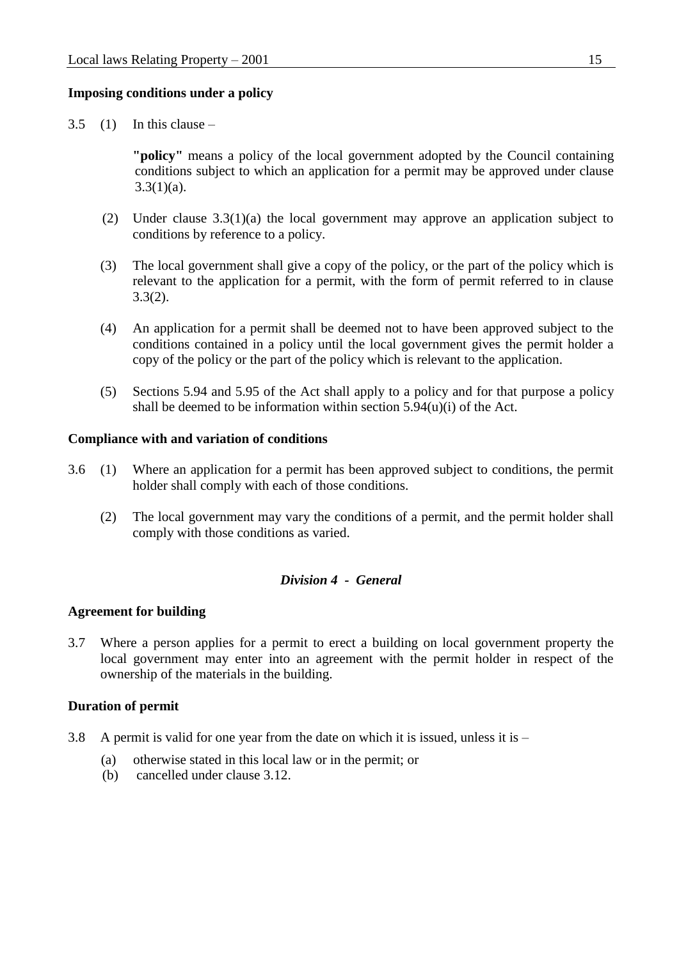### **Imposing conditions under a policy**

 $3.5$  (1) In this clause –

**"policy"** means a policy of the local government adopted by the Council containing conditions subject to which an application for a permit may be approved under clause  $3.3(1)(a)$ .

- (2) Under clause 3.3(1)(a) the local government may approve an application subject to conditions by reference to a policy.
- (3) The local government shall give a copy of the policy, or the part of the policy which is relevant to the application for a permit, with the form of permit referred to in clause 3.3(2).
- (4) An application for a permit shall be deemed not to have been approved subject to the conditions contained in a policy until the local government gives the permit holder a copy of the policy or the part of the policy which is relevant to the application.
- (5) Sections 5.94 and 5.95 of the Act shall apply to a policy and for that purpose a policy shall be deemed to be information within section  $5.94(u)(i)$  of the Act.

#### **Compliance with and variation of conditions**

- 3.6 (1) Where an application for a permit has been approved subject to conditions, the permit holder shall comply with each of those conditions.
	- (2) The local government may vary the conditions of a permit, and the permit holder shall comply with those conditions as varied.

### *Division 4 - General*

#### **Agreement for building**

3.7 Where a person applies for a permit to erect a building on local government property the local government may enter into an agreement with the permit holder in respect of the ownership of the materials in the building.

### **Duration of permit**

- 3.8 A permit is valid for one year from the date on which it is issued, unless it is
	- (a) otherwise stated in this local law or in the permit; or
	- (b) cancelled under clause 3.12.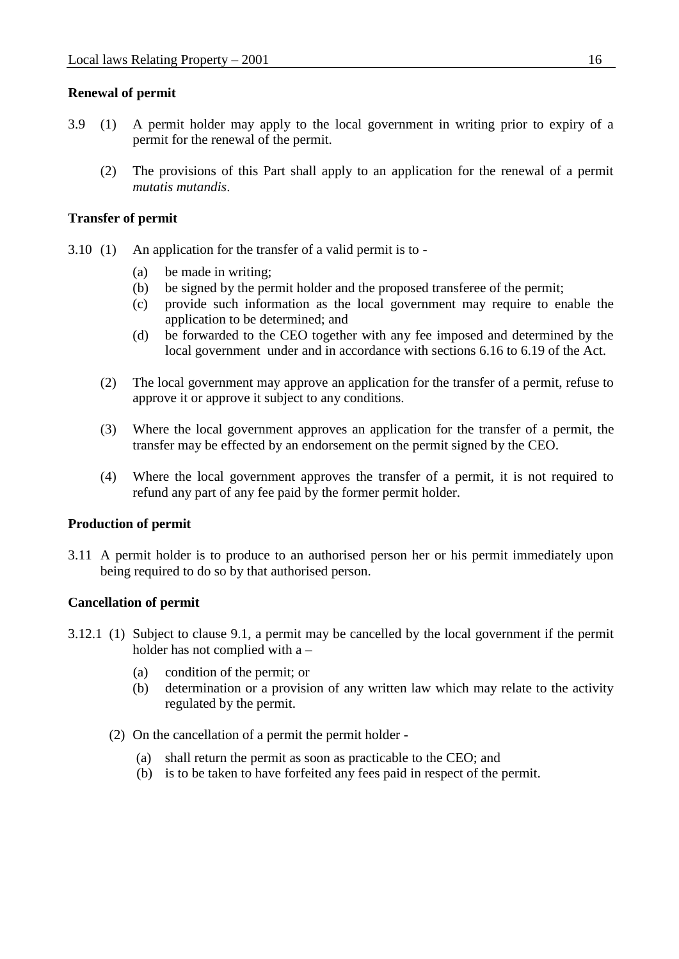## **Renewal of permit**

- 3.9 (1) A permit holder may apply to the local government in writing prior to expiry of a permit for the renewal of the permit.
	- (2) The provisions of this Part shall apply to an application for the renewal of a permit *mutatis mutandis*.

## **Transfer of permit**

- 3.10 (1) An application for the transfer of a valid permit is to
	- (a) be made in writing;
	- (b) be signed by the permit holder and the proposed transferee of the permit;
	- (c) provide such information as the local government may require to enable the application to be determined; and
	- (d) be forwarded to the CEO together with any fee imposed and determined by the local government under and in accordance with sections 6.16 to 6.19 of the Act.
	- (2) The local government may approve an application for the transfer of a permit, refuse to approve it or approve it subject to any conditions.
	- (3) Where the local government approves an application for the transfer of a permit, the transfer may be effected by an endorsement on the permit signed by the CEO.
	- (4) Where the local government approves the transfer of a permit, it is not required to refund any part of any fee paid by the former permit holder.

### **Production of permit**

3.11 A permit holder is to produce to an authorised person her or his permit immediately upon being required to do so by that authorised person.

### **Cancellation of permit**

- 3.12.1 (1) Subject to clause 9.1, a permit may be cancelled by the local government if the permit holder has not complied with a –
	- (a) condition of the permit; or
	- (b) determination or a provision of any written law which may relate to the activity regulated by the permit.
	- (2) On the cancellation of a permit the permit holder
		- (a) shall return the permit as soon as practicable to the CEO; and
		- (b) is to be taken to have forfeited any fees paid in respect of the permit.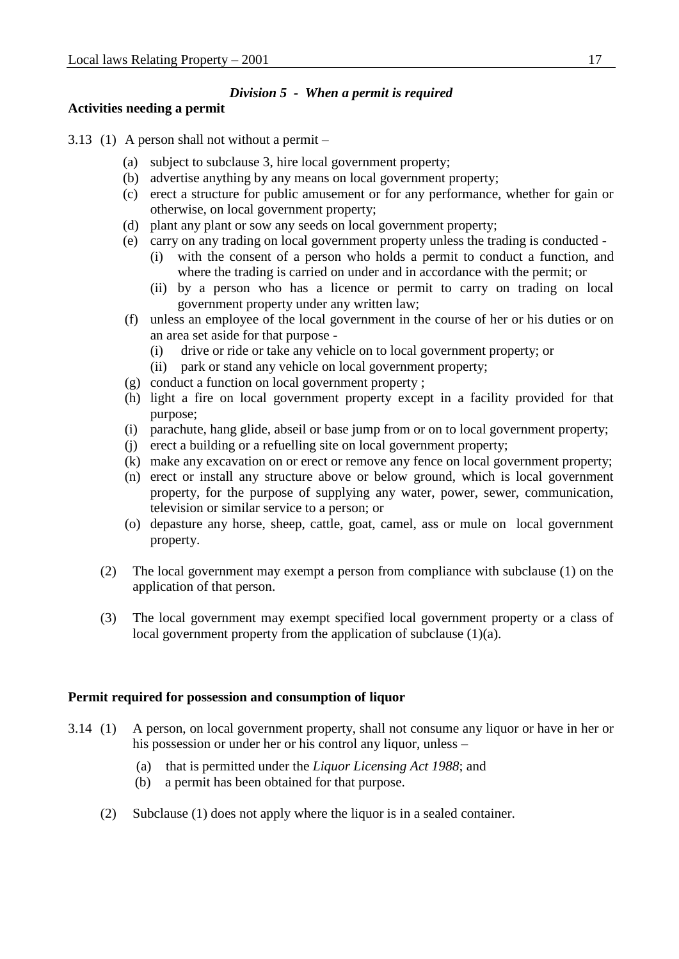## *Division 5 - When a permit is required*

## **Activities needing a permit**

- 3.13 (1) A person shall not without a permit
	- (a) subject to subclause 3, hire local government property;
	- (b) advertise anything by any means on local government property;
	- (c) erect a structure for public amusement or for any performance, whether for gain or otherwise, on local government property;
	- (d) plant any plant or sow any seeds on local government property;
	- (e) carry on any trading on local government property unless the trading is conducted
		- (i) with the consent of a person who holds a permit to conduct a function, and where the trading is carried on under and in accordance with the permit; or
		- (ii) by a person who has a licence or permit to carry on trading on local government property under any written law;
	- (f) unless an employee of the local government in the course of her or his duties or on an area set aside for that purpose -
		- (i) drive or ride or take any vehicle on to local government property; or
		- (ii) park or stand any vehicle on local government property;
	- (g) conduct a function on local government property ;
	- (h) light a fire on local government property except in a facility provided for that purpose;
	- (i) parachute, hang glide, abseil or base jump from or on to local government property;
	- (j) erect a building or a refuelling site on local government property;
	- (k) make any excavation on or erect or remove any fence on local government property;
	- (n) erect or install any structure above or below ground, which is local government property, for the purpose of supplying any water, power, sewer, communication, television or similar service to a person; or
	- (o) depasture any horse, sheep, cattle, goat, camel, ass or mule on local government property.
	- (2) The local government may exempt a person from compliance with subclause (1) on the application of that person.
	- (3) The local government may exempt specified local government property or a class of local government property from the application of subclause (1)(a).

## **Permit required for possession and consumption of liquor**

- 3.14 (1) A person, on local government property, shall not consume any liquor or have in her or his possession or under her or his control any liquor, unless –
	- (a) that is permitted under the *Liquor Licensing Act 1988*; and
	- (b) a permit has been obtained for that purpose.
	- (2) Subclause (1) does not apply where the liquor is in a sealed container.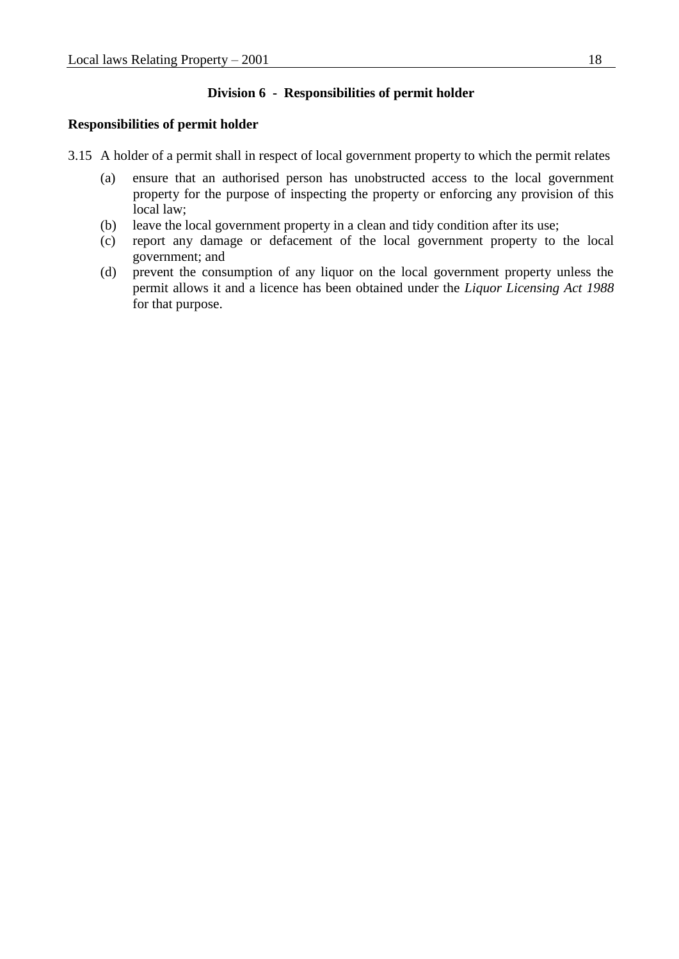### **Division 6 - Responsibilities of permit holder**

### **Responsibilities of permit holder**

- 3.15 A holder of a permit shall in respect of local government property to which the permit relates
	- (a) ensure that an authorised person has unobstructed access to the local government property for the purpose of inspecting the property or enforcing any provision of this local law;
	- (b) leave the local government property in a clean and tidy condition after its use;
	- (c) report any damage or defacement of the local government property to the local government; and
	- (d) prevent the consumption of any liquor on the local government property unless the permit allows it and a licence has been obtained under the *Liquor Licensing Act 1988*  for that purpose.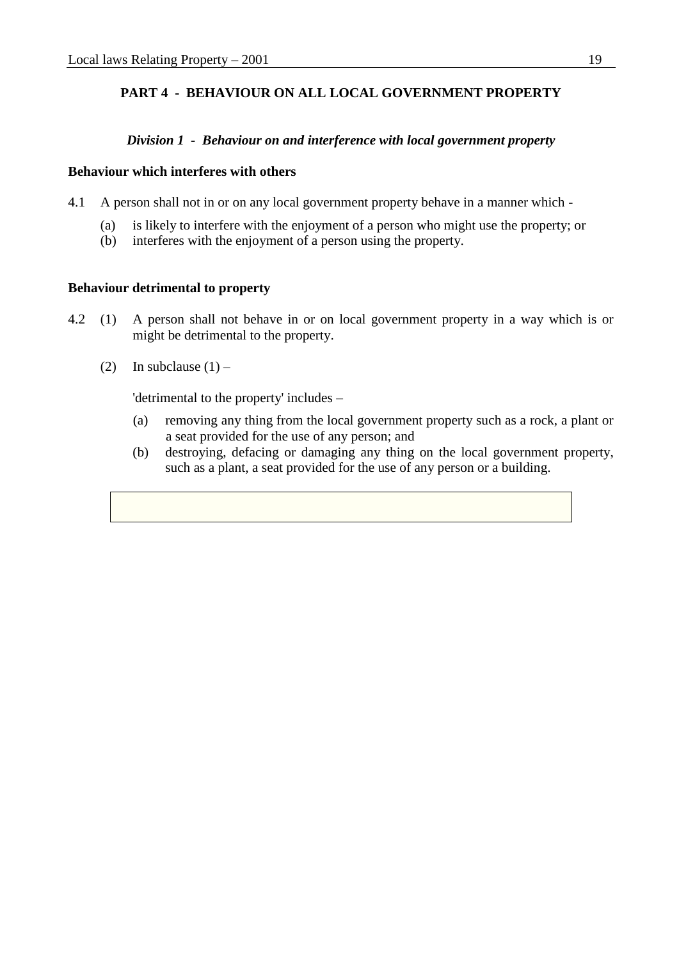# **PART 4 - BEHAVIOUR ON ALL LOCAL GOVERNMENT PROPERTY**

## *Division 1 - Behaviour on and interference with local government property*

### **Behaviour which interferes with others**

- 4.1 A person shall not in or on any local government property behave in a manner which
	- (a) is likely to interfere with the enjoyment of a person who might use the property; or
	- (b) interferes with the enjoyment of a person using the property.

## **Behaviour detrimental to property**

- 4.2 (1) A person shall not behave in or on local government property in a way which is or might be detrimental to the property.
	- (2) In subclause  $(1)$  –

'detrimental to the property' includes –

- (a) removing any thing from the local government property such as a rock, a plant or a seat provided for the use of any person; and
- (b) destroying, defacing or damaging any thing on the local government property, such as a plant, a seat provided for the use of any person or a building.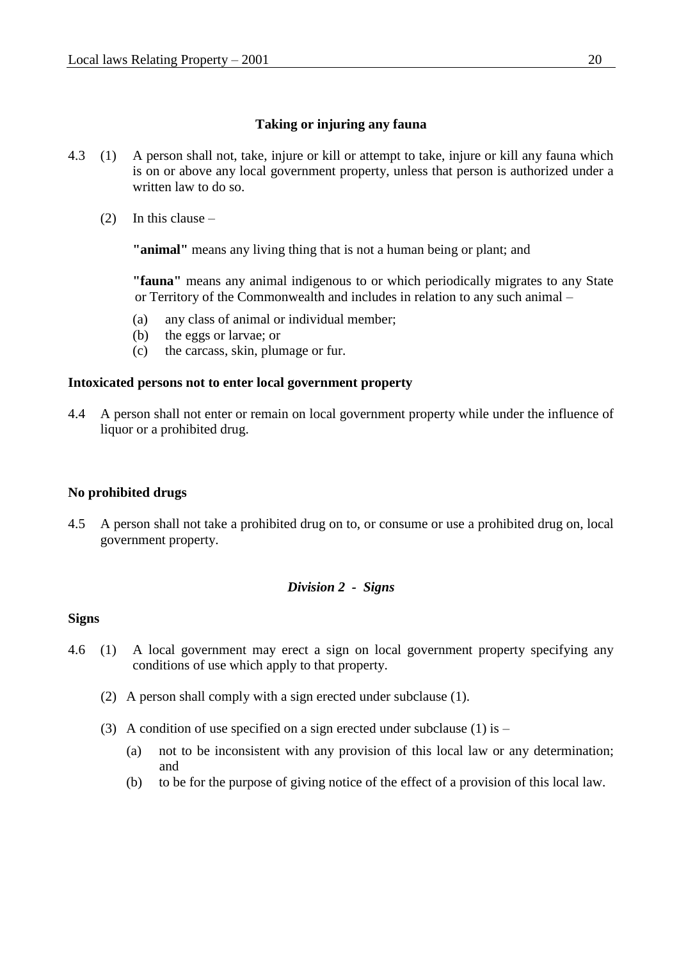## **Taking or injuring any fauna**

- 4.3 (1) A person shall not, take, injure or kill or attempt to take, injure or kill any fauna which is on or above any local government property, unless that person is authorized under a written law to do so.
	- (2) In this clause –

**"animal"** means any living thing that is not a human being or plant; and

**"fauna"** means any animal indigenous to or which periodically migrates to any State or Territory of the Commonwealth and includes in relation to any such animal –

- (a) any class of animal or individual member;
- (b) the eggs or larvae; or
- (c) the carcass, skin, plumage or fur.

## **Intoxicated persons not to enter local government property**

4.4 A person shall not enter or remain on local government property while under the influence of liquor or a prohibited drug.

## **No prohibited drugs**

4.5 A person shall not take a prohibited drug on to, or consume or use a prohibited drug on, local government property.

## *Division 2 - Signs*

## **Signs**

- 4.6 (1) A local government may erect a sign on local government property specifying any conditions of use which apply to that property.
	- (2) A person shall comply with a sign erected under subclause (1).
	- (3) A condition of use specified on a sign erected under subclause (1) is
		- (a) not to be inconsistent with any provision of this local law or any determination; and
		- (b) to be for the purpose of giving notice of the effect of a provision of this local law.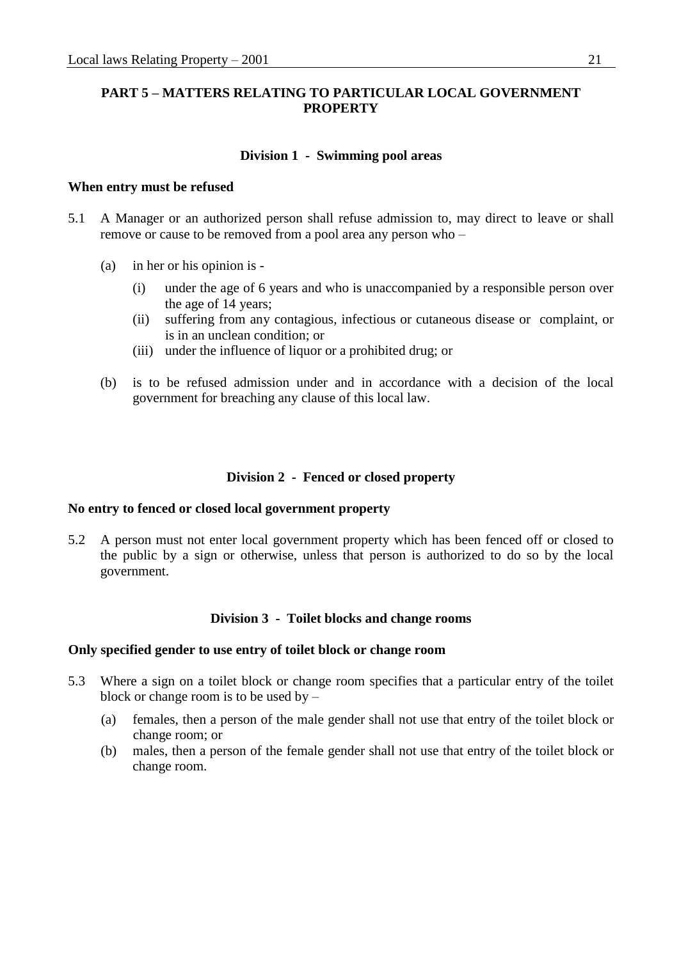## **PART 5 – MATTERS RELATING TO PARTICULAR LOCAL GOVERNMENT PROPERTY**

### **Division 1 - Swimming pool areas**

#### **When entry must be refused**

- 5.1 A Manager or an authorized person shall refuse admission to, may direct to leave or shall remove or cause to be removed from a pool area any person who –
	- (a) in her or his opinion is
		- (i) under the age of 6 years and who is unaccompanied by a responsible person over the age of 14 years;
		- (ii) suffering from any contagious, infectious or cutaneous disease or complaint, or is in an unclean condition; or
		- (iii) under the influence of liquor or a prohibited drug; or
	- (b) is to be refused admission under and in accordance with a decision of the local government for breaching any clause of this local law.

## **Division 2 - Fenced or closed property**

### **No entry to fenced or closed local government property**

5.2 A person must not enter local government property which has been fenced off or closed to the public by a sign or otherwise, unless that person is authorized to do so by the local government.

### **Division 3 - Toilet blocks and change rooms**

#### **Only specified gender to use entry of toilet block or change room**

- 5.3 Where a sign on a toilet block or change room specifies that a particular entry of the toilet block or change room is to be used by –
	- (a) females, then a person of the male gender shall not use that entry of the toilet block or change room; or
	- (b) males, then a person of the female gender shall not use that entry of the toilet block or change room.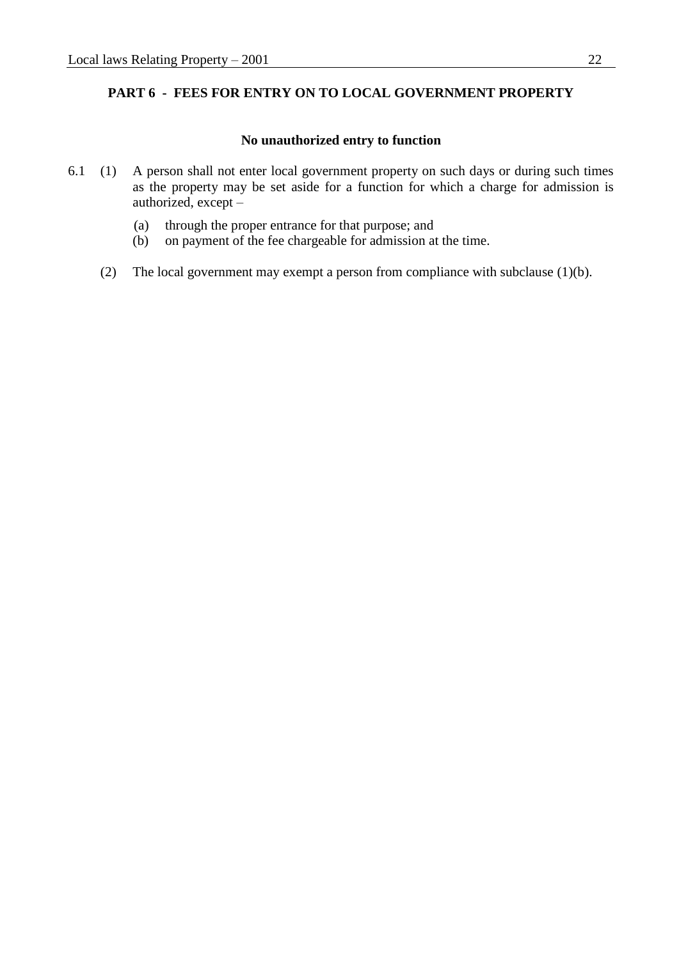## **PART 6 - FEES FOR ENTRY ON TO LOCAL GOVERNMENT PROPERTY**

#### **No unauthorized entry to function**

- 6.1 (1) A person shall not enter local government property on such days or during such times as the property may be set aside for a function for which a charge for admission is authorized, except –
	- (a) through the proper entrance for that purpose; and
	- (b) on payment of the fee chargeable for admission at the time.
	- (2) The local government may exempt a person from compliance with subclause (1)(b).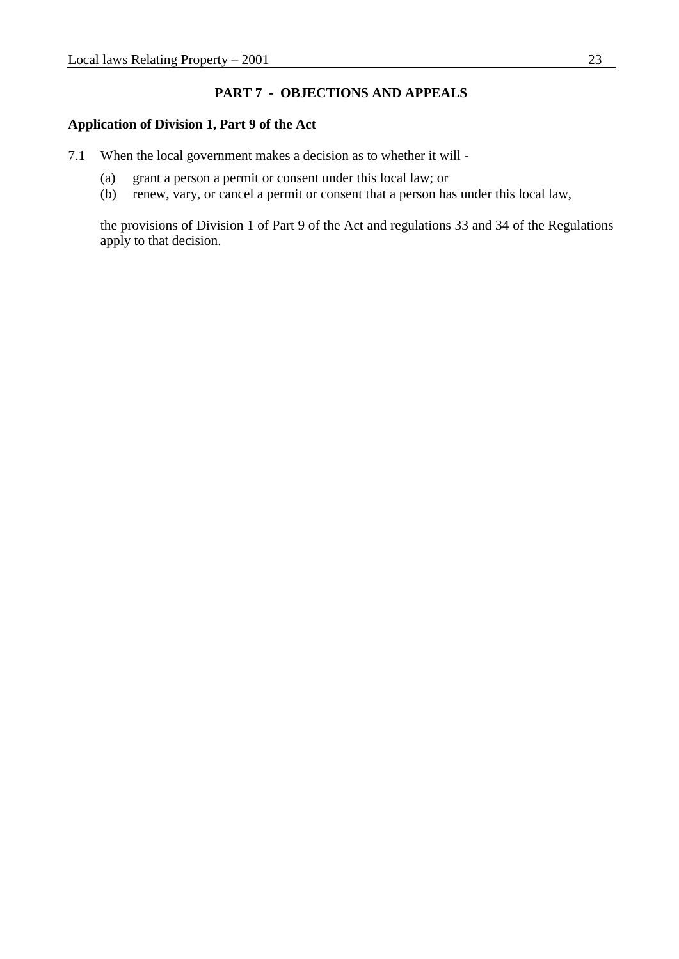## **PART 7 - OBJECTIONS AND APPEALS**

### **Application of Division 1, Part 9 of the Act**

- 7.1 When the local government makes a decision as to whether it will
	- (a) grant a person a permit or consent under this local law; or
	- (b) renew, vary, or cancel a permit or consent that a person has under this local law,

the provisions of Division 1 of Part 9 of the Act and regulations 33 and 34 of the Regulations apply to that decision.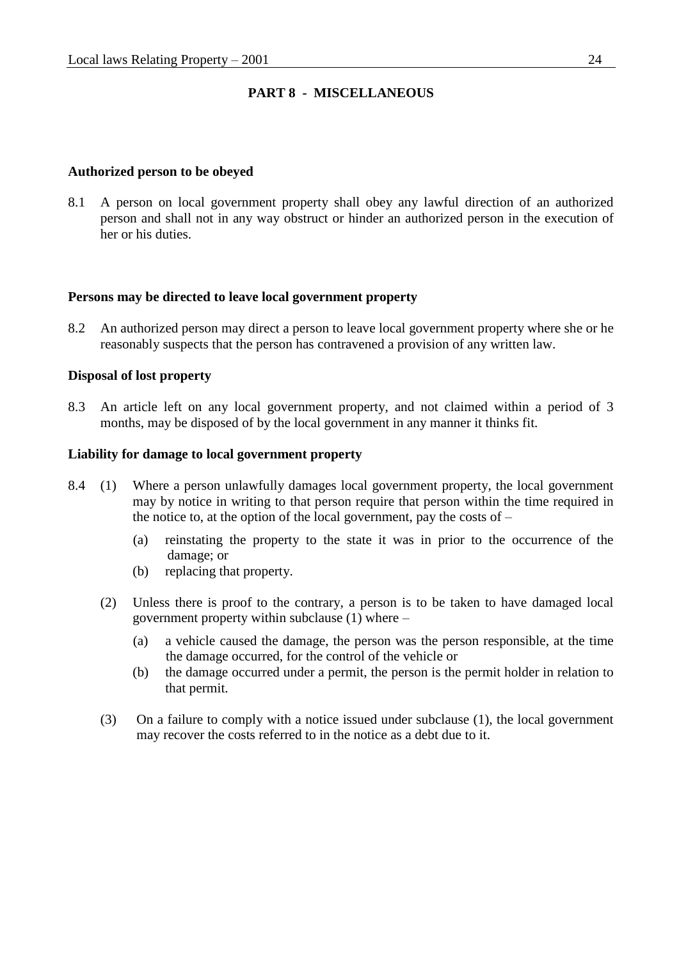## **PART 8 - MISCELLANEOUS**

### **Authorized person to be obeyed**

8.1 A person on local government property shall obey any lawful direction of an authorized person and shall not in any way obstruct or hinder an authorized person in the execution of her or his duties.

### **Persons may be directed to leave local government property**

8.2 An authorized person may direct a person to leave local government property where she or he reasonably suspects that the person has contravened a provision of any written law.

#### **Disposal of lost property**

8.3 An article left on any local government property, and not claimed within a period of 3 months, may be disposed of by the local government in any manner it thinks fit.

#### **Liability for damage to local government property**

- 8.4 (1) Where a person unlawfully damages local government property, the local government may by notice in writing to that person require that person within the time required in the notice to, at the option of the local government, pay the costs of  $-$ 
	- (a) reinstating the property to the state it was in prior to the occurrence of the damage; or
	- (b) replacing that property.
	- (2) Unless there is proof to the contrary, a person is to be taken to have damaged local government property within subclause (1) where –
		- (a) a vehicle caused the damage, the person was the person responsible, at the time the damage occurred, for the control of the vehicle or
		- (b) the damage occurred under a permit, the person is the permit holder in relation to that permit.
	- (3) On a failure to comply with a notice issued under subclause (1), the local government may recover the costs referred to in the notice as a debt due to it.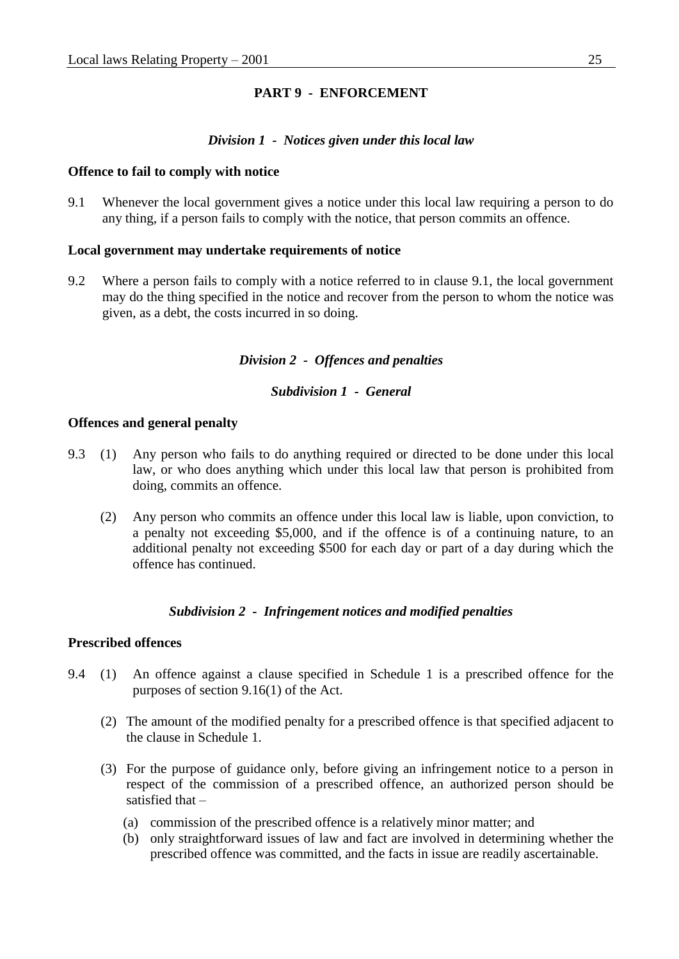## **PART 9 - ENFORCEMENT**

#### *Division 1 - Notices given under this local law*

#### **Offence to fail to comply with notice**

9.1 Whenever the local government gives a notice under this local law requiring a person to do any thing, if a person fails to comply with the notice, that person commits an offence.

#### **Local government may undertake requirements of notice**

9.2 Where a person fails to comply with a notice referred to in clause 9.1, the local government may do the thing specified in the notice and recover from the person to whom the notice was given, as a debt, the costs incurred in so doing.

### *Division 2 - Offences and penalties*

#### *Subdivision 1 - General*

#### **Offences and general penalty**

- 9.3 (1) Any person who fails to do anything required or directed to be done under this local law, or who does anything which under this local law that person is prohibited from doing, commits an offence.
	- (2) Any person who commits an offence under this local law is liable, upon conviction, to a penalty not exceeding \$5,000, and if the offence is of a continuing nature, to an additional penalty not exceeding \$500 for each day or part of a day during which the offence has continued.

### *Subdivision 2 - Infringement notices and modified penalties*

### **Prescribed offences**

- 9.4 (1) An offence against a clause specified in Schedule 1 is a prescribed offence for the purposes of section 9.16(1) of the Act.
	- (2) The amount of the modified penalty for a prescribed offence is that specified adjacent to the clause in Schedule 1.
	- (3) For the purpose of guidance only, before giving an infringement notice to a person in respect of the commission of a prescribed offence, an authorized person should be satisfied that –
		- (a) commission of the prescribed offence is a relatively minor matter; and
		- (b) only straightforward issues of law and fact are involved in determining whether the prescribed offence was committed, and the facts in issue are readily ascertainable.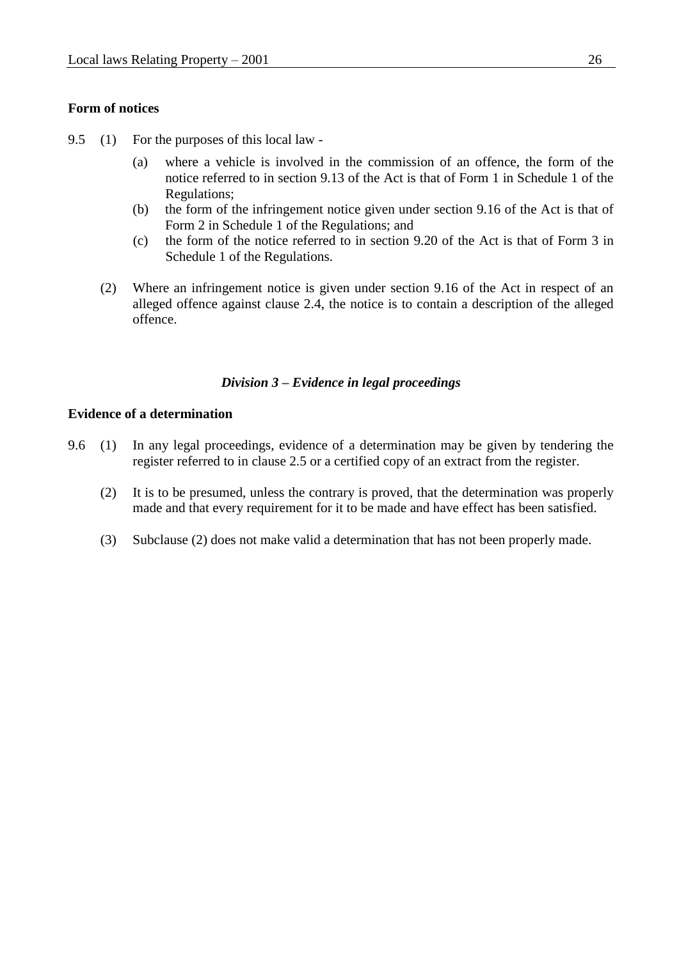### **Form of notices**

- 9.5 (1) For the purposes of this local law
	- (a) where a vehicle is involved in the commission of an offence, the form of the notice referred to in section 9.13 of the Act is that of Form 1 in Schedule 1 of the Regulations;
	- (b) the form of the infringement notice given under section 9.16 of the Act is that of Form 2 in Schedule 1 of the Regulations; and
	- (c) the form of the notice referred to in section 9.20 of the Act is that of Form 3 in Schedule 1 of the Regulations.
	- (2) Where an infringement notice is given under section 9.16 of the Act in respect of an alleged offence against clause 2.4, the notice is to contain a description of the alleged offence.

### *Division 3 – Evidence in legal proceedings*

#### **Evidence of a determination**

- 9.6 (1) In any legal proceedings, evidence of a determination may be given by tendering the register referred to in clause 2.5 or a certified copy of an extract from the register.
	- (2) It is to be presumed, unless the contrary is proved, that the determination was properly made and that every requirement for it to be made and have effect has been satisfied.
	- (3) Subclause (2) does not make valid a determination that has not been properly made.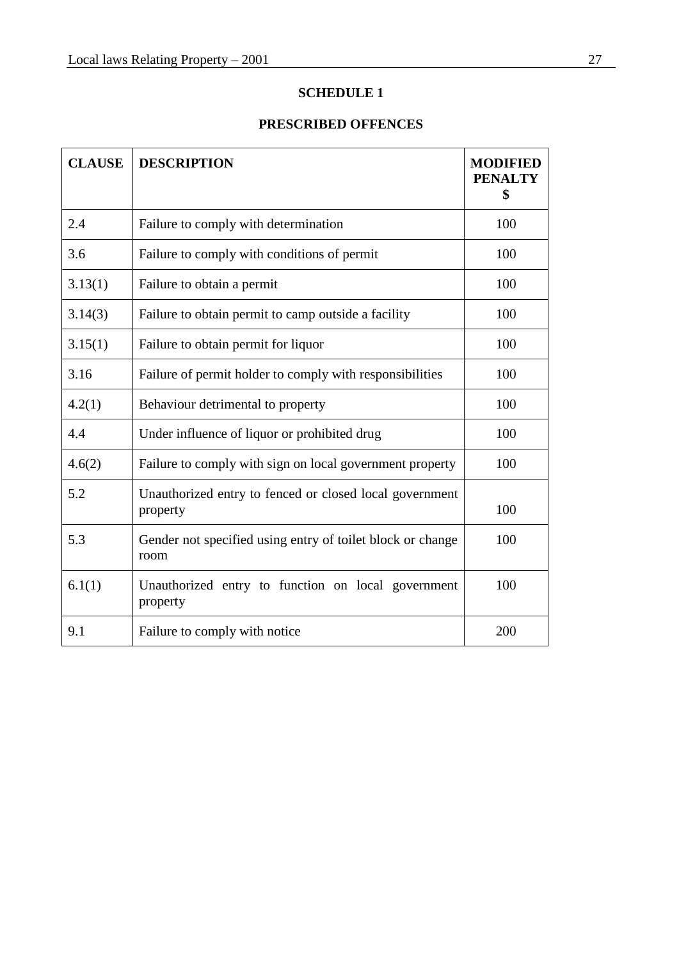# **SCHEDULE 1**

# **PRESCRIBED OFFENCES**

| <b>CLAUSE</b> | <b>DESCRIPTION</b>                                                  | <b>MODIFIED</b><br><b>PENALTY</b><br>\$ |
|---------------|---------------------------------------------------------------------|-----------------------------------------|
| 2.4           | Failure to comply with determination                                | 100                                     |
| 3.6           | Failure to comply with conditions of permit                         | 100                                     |
| 3.13(1)       | Failure to obtain a permit                                          | 100                                     |
| 3.14(3)       | Failure to obtain permit to camp outside a facility                 | 100                                     |
| 3.15(1)       | Failure to obtain permit for liquor                                 | 100                                     |
| 3.16          | Failure of permit holder to comply with responsibilities            | 100                                     |
| 4.2(1)        | Behaviour detrimental to property                                   | 100                                     |
| 4.4           | Under influence of liquor or prohibited drug                        | 100                                     |
| 4.6(2)        | Failure to comply with sign on local government property            | 100                                     |
| 5.2           | Unauthorized entry to fenced or closed local government<br>property | 100                                     |
| 5.3           | Gender not specified using entry of toilet block or change<br>room  | 100                                     |
| 6.1(1)        | Unauthorized entry to function on local government<br>property      | 100                                     |
| 9.1           | Failure to comply with notice                                       | 200                                     |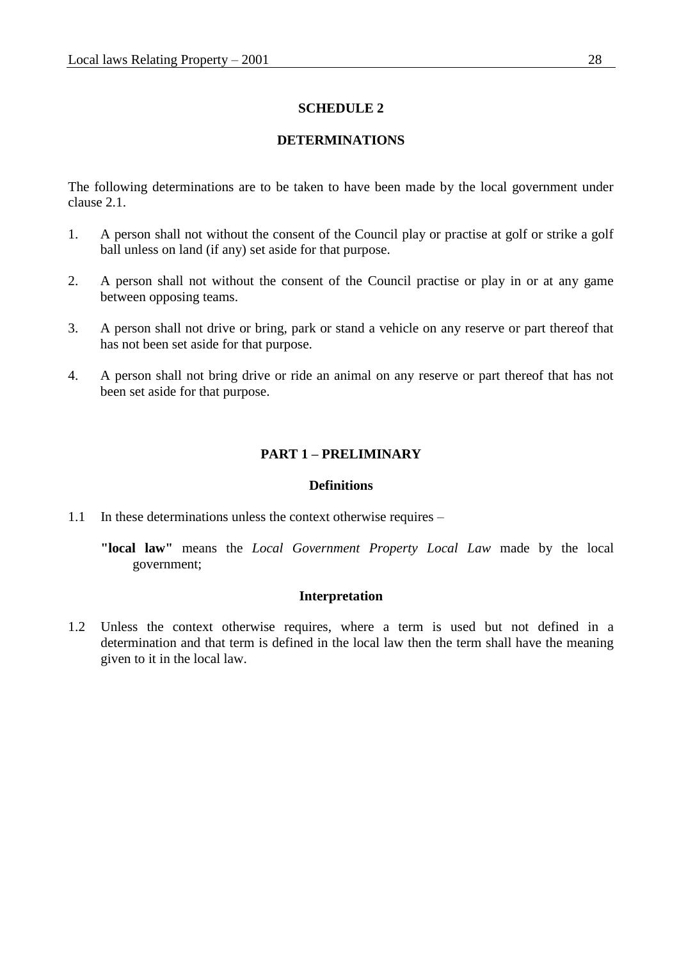### **SCHEDULE 2**

## **DETERMINATIONS**

The following determinations are to be taken to have been made by the local government under clause 2.1.

- 1. A person shall not without the consent of the Council play or practise at golf or strike a golf ball unless on land (if any) set aside for that purpose.
- 2. A person shall not without the consent of the Council practise or play in or at any game between opposing teams.
- 3. A person shall not drive or bring, park or stand a vehicle on any reserve or part thereof that has not been set aside for that purpose.
- 4. A person shall not bring drive or ride an animal on any reserve or part thereof that has not been set aside for that purpose.

### **PART 1 – PRELIMINARY**

#### **Definitions**

1.1 In these determinations unless the context otherwise requires –

**"local law"** means the *Local Government Property Local Law* made by the local government;

### **Interpretation**

1.2 Unless the context otherwise requires, where a term is used but not defined in a determination and that term is defined in the local law then the term shall have the meaning given to it in the local law.